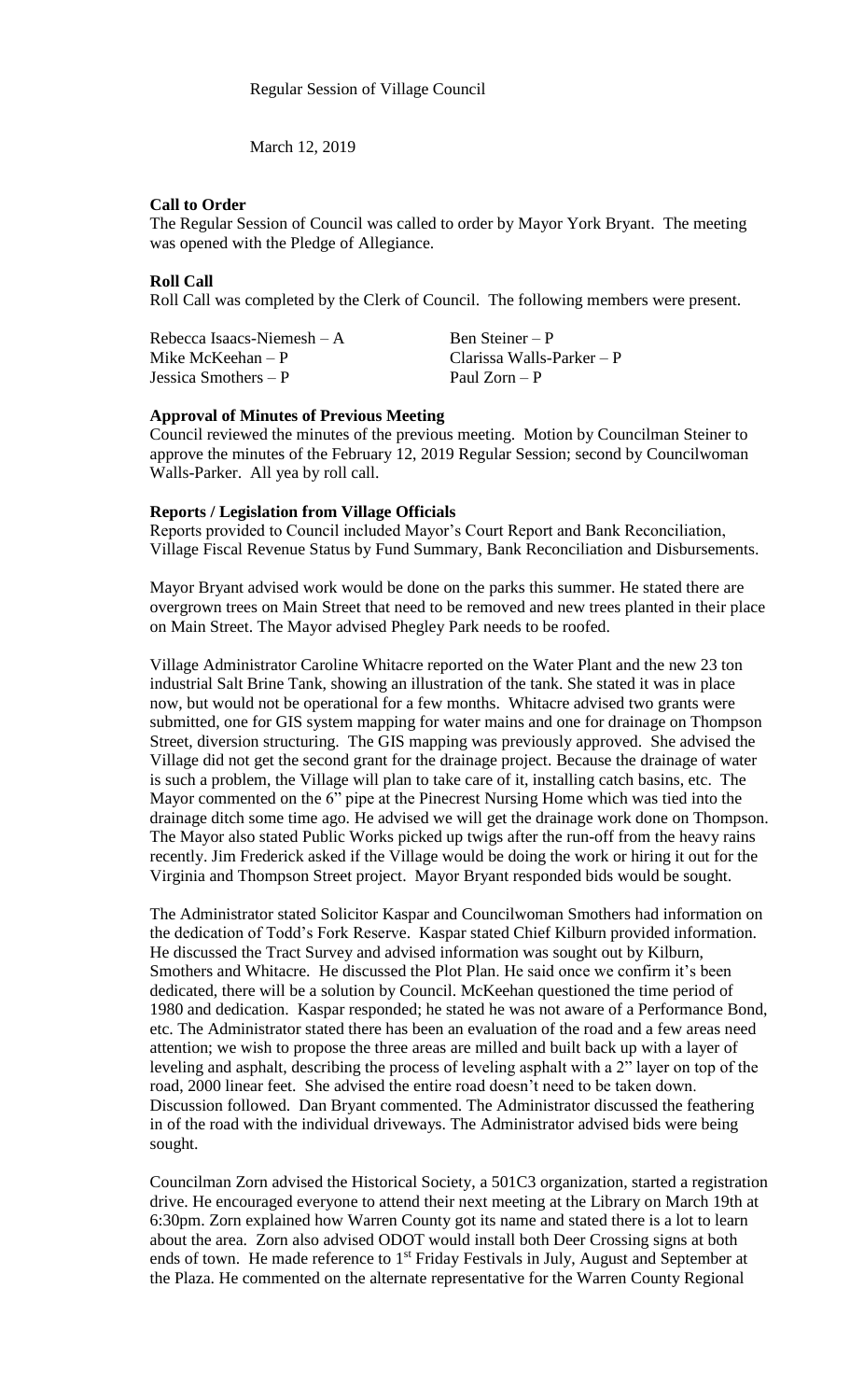March 12, 2019

## **Call to Order**

The Regular Session of Council was called to order by Mayor York Bryant. The meeting was opened with the Pledge of Allegiance.

## **Roll Call**

Roll Call was completed by the Clerk of Council. The following members were present.

| Rebecca Isaacs-Niemesh $-A$ | Ben Steiner – P             |
|-----------------------------|-----------------------------|
| Mike McKeehan $- P$         | Clarissa Walls-Parker $- P$ |
| Jessica Smothers $- P$      | Paul Zorn – P               |

### **Approval of Minutes of Previous Meeting**

Council reviewed the minutes of the previous meeting. Motion by Councilman Steiner to approve the minutes of the February 12, 2019 Regular Session; second by Councilwoman Walls-Parker. All yea by roll call.

## **Reports / Legislation from Village Officials**

Reports provided to Council included Mayor's Court Report and Bank Reconciliation, Village Fiscal Revenue Status by Fund Summary, Bank Reconciliation and Disbursements.

Mayor Bryant advised work would be done on the parks this summer. He stated there are overgrown trees on Main Street that need to be removed and new trees planted in their place on Main Street. The Mayor advised Phegley Park needs to be roofed.

Village Administrator Caroline Whitacre reported on the Water Plant and the new 23 ton industrial Salt Brine Tank, showing an illustration of the tank. She stated it was in place now, but would not be operational for a few months. Whitacre advised two grants were submitted, one for GIS system mapping for water mains and one for drainage on Thompson Street, diversion structuring. The GIS mapping was previously approved. She advised the Village did not get the second grant for the drainage project. Because the drainage of water is such a problem, the Village will plan to take care of it, installing catch basins, etc. The Mayor commented on the 6" pipe at the Pinecrest Nursing Home which was tied into the drainage ditch some time ago. He advised we will get the drainage work done on Thompson. The Mayor also stated Public Works picked up twigs after the run-off from the heavy rains recently. Jim Frederick asked if the Village would be doing the work or hiring it out for the Virginia and Thompson Street project. Mayor Bryant responded bids would be sought.

The Administrator stated Solicitor Kaspar and Councilwoman Smothers had information on the dedication of Todd's Fork Reserve. Kaspar stated Chief Kilburn provided information. He discussed the Tract Survey and advised information was sought out by Kilburn, Smothers and Whitacre. He discussed the Plot Plan. He said once we confirm it's been dedicated, there will be a solution by Council. McKeehan questioned the time period of 1980 and dedication. Kaspar responded; he stated he was not aware of a Performance Bond, etc. The Administrator stated there has been an evaluation of the road and a few areas need attention; we wish to propose the three areas are milled and built back up with a layer of leveling and asphalt, describing the process of leveling asphalt with a 2" layer on top of the road, 2000 linear feet. She advised the entire road doesn't need to be taken down. Discussion followed. Dan Bryant commented. The Administrator discussed the feathering in of the road with the individual driveways. The Administrator advised bids were being sought.

Councilman Zorn advised the Historical Society, a 501C3 organization, started a registration drive. He encouraged everyone to attend their next meeting at the Library on March 19th at 6:30pm. Zorn explained how Warren County got its name and stated there is a lot to learn about the area. Zorn also advised ODOT would install both Deer Crossing signs at both ends of town. He made reference to 1<sup>st</sup> Friday Festivals in July, August and September at the Plaza. He commented on the alternate representative for the Warren County Regional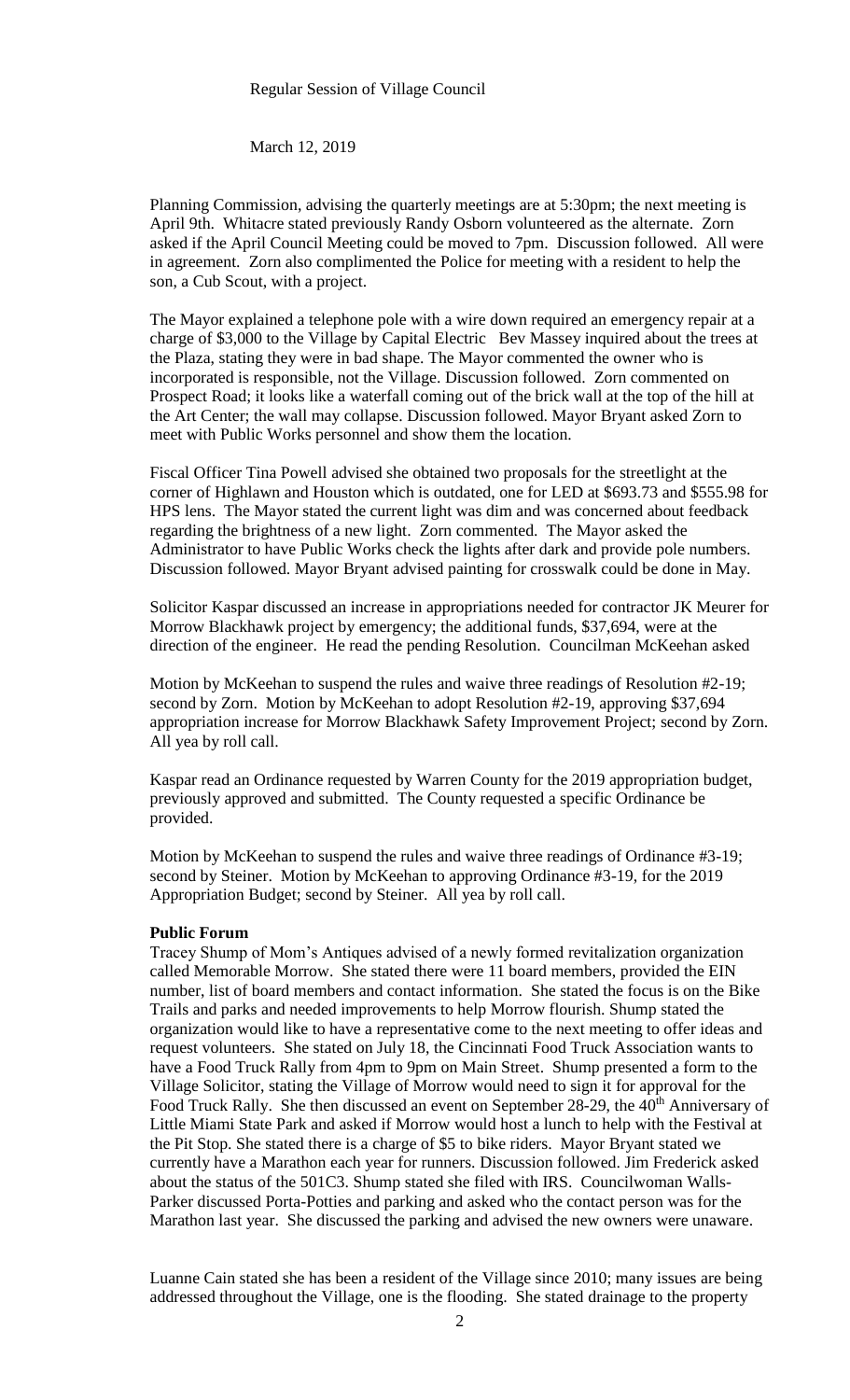#### Regular Session of Village Council

March 12, 2019

Planning Commission, advising the quarterly meetings are at 5:30pm; the next meeting is April 9th. Whitacre stated previously Randy Osborn volunteered as the alternate. Zorn asked if the April Council Meeting could be moved to 7pm. Discussion followed. All were in agreement. Zorn also complimented the Police for meeting with a resident to help the son, a Cub Scout, with a project.

The Mayor explained a telephone pole with a wire down required an emergency repair at a charge of \$3,000 to the Village by Capital Electric Bev Massey inquired about the trees at the Plaza, stating they were in bad shape. The Mayor commented the owner who is incorporated is responsible, not the Village. Discussion followed. Zorn commented on Prospect Road; it looks like a waterfall coming out of the brick wall at the top of the hill at the Art Center; the wall may collapse. Discussion followed. Mayor Bryant asked Zorn to meet with Public Works personnel and show them the location.

Fiscal Officer Tina Powell advised she obtained two proposals for the streetlight at the corner of Highlawn and Houston which is outdated, one for LED at \$693.73 and \$555.98 for HPS lens. The Mayor stated the current light was dim and was concerned about feedback regarding the brightness of a new light. Zorn commented. The Mayor asked the Administrator to have Public Works check the lights after dark and provide pole numbers. Discussion followed. Mayor Bryant advised painting for crosswalk could be done in May.

Solicitor Kaspar discussed an increase in appropriations needed for contractor JK Meurer for Morrow Blackhawk project by emergency; the additional funds, \$37,694, were at the direction of the engineer. He read the pending Resolution. Councilman McKeehan asked

Motion by McKeehan to suspend the rules and waive three readings of Resolution #2-19; second by Zorn. Motion by McKeehan to adopt Resolution #2-19, approving \$37,694 appropriation increase for Morrow Blackhawk Safety Improvement Project; second by Zorn. All yea by roll call.

Kaspar read an Ordinance requested by Warren County for the 2019 appropriation budget, previously approved and submitted. The County requested a specific Ordinance be provided.

Motion by McKeehan to suspend the rules and waive three readings of Ordinance #3-19; second by Steiner. Motion by McKeehan to approving Ordinance #3-19, for the 2019 Appropriation Budget; second by Steiner. All yea by roll call.

### **Public Forum**

Tracey Shump of Mom's Antiques advised of a newly formed revitalization organization called Memorable Morrow. She stated there were 11 board members, provided the EIN number, list of board members and contact information. She stated the focus is on the Bike Trails and parks and needed improvements to help Morrow flourish. Shump stated the organization would like to have a representative come to the next meeting to offer ideas and request volunteers. She stated on July 18, the Cincinnati Food Truck Association wants to have a Food Truck Rally from 4pm to 9pm on Main Street. Shump presented a form to the Village Solicitor, stating the Village of Morrow would need to sign it for approval for the Food Truck Rally. She then discussed an event on September 28-29, the 40<sup>th</sup> Anniversary of Little Miami State Park and asked if Morrow would host a lunch to help with the Festival at the Pit Stop. She stated there is a charge of \$5 to bike riders. Mayor Bryant stated we currently have a Marathon each year for runners. Discussion followed. Jim Frederick asked about the status of the 501C3. Shump stated she filed with IRS. Councilwoman Walls-Parker discussed Porta-Potties and parking and asked who the contact person was for the Marathon last year. She discussed the parking and advised the new owners were unaware.

Luanne Cain stated she has been a resident of the Village since 2010; many issues are being addressed throughout the Village, one is the flooding. She stated drainage to the property